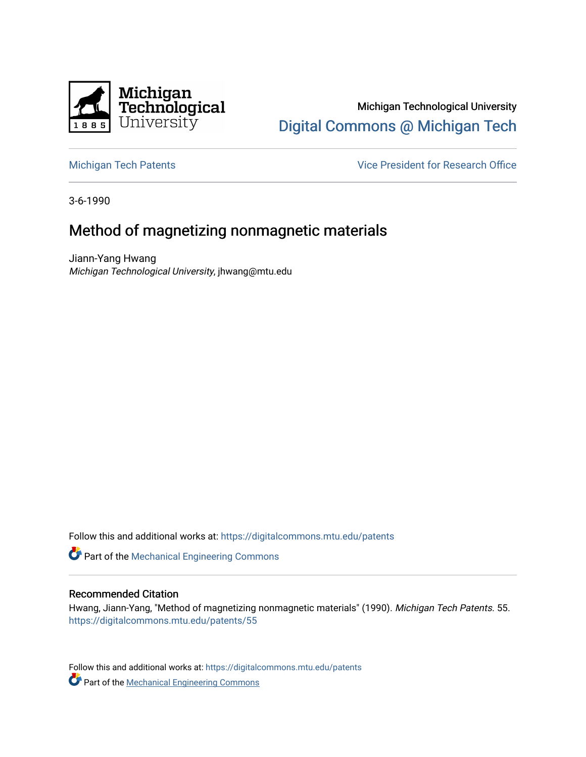

Michigan Technological University [Digital Commons @ Michigan Tech](https://digitalcommons.mtu.edu/) 

[Michigan Tech Patents](https://digitalcommons.mtu.edu/patents) **Vice President for Research Office** 

3-6-1990

# Method of magnetizing nonmagnetic materials

Jiann-Yang Hwang Michigan Technological University, jhwang@mtu.edu

Follow this and additional works at: [https://digitalcommons.mtu.edu/patents](https://digitalcommons.mtu.edu/patents?utm_source=digitalcommons.mtu.edu%2Fpatents%2F55&utm_medium=PDF&utm_campaign=PDFCoverPages)

Part of the [Mechanical Engineering Commons](http://network.bepress.com/hgg/discipline/293?utm_source=digitalcommons.mtu.edu%2Fpatents%2F55&utm_medium=PDF&utm_campaign=PDFCoverPages) 

## Recommended Citation

Hwang, Jiann-Yang, "Method of magnetizing nonmagnetic materials" (1990). Michigan Tech Patents. 55. [https://digitalcommons.mtu.edu/patents/55](https://digitalcommons.mtu.edu/patents/55?utm_source=digitalcommons.mtu.edu%2Fpatents%2F55&utm_medium=PDF&utm_campaign=PDFCoverPages) 

Follow this and additional works at: [https://digitalcommons.mtu.edu/patents](https://digitalcommons.mtu.edu/patents?utm_source=digitalcommons.mtu.edu%2Fpatents%2F55&utm_medium=PDF&utm_campaign=PDFCoverPages) **Part of the [Mechanical Engineering Commons](http://network.bepress.com/hgg/discipline/293?utm_source=digitalcommons.mtu.edu%2Fpatents%2F55&utm_medium=PDF&utm_campaign=PDFCoverPages)**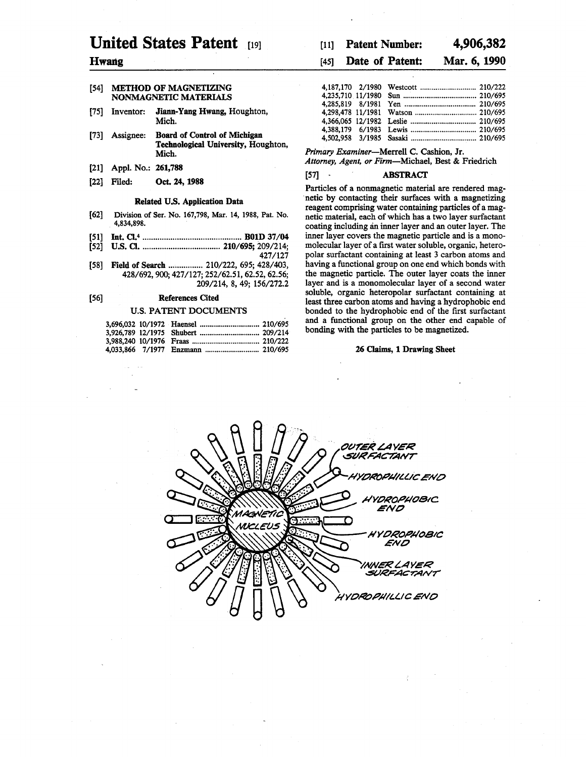# **United States Patent** *m*

## **Hwang**

## **[54] METHOD OF MAGNETIZING NONMAGNETIC MATERIALS**

- **[75] Inventor: Jiann-Yang Hwang, Houghton, Mich.**
- **[73] Assignee: Board of Control of Michigan Technological University, Houghton, Mich.**
- **[21] Appl. No.: 261,788**
- [22] Filed: **Oct. 24, 1988**

#### **Related U.S. Application Data**

- [62] Division of Ser. No. 167,798, Mar. 14, 1988, Pat. No. 4,834,898.
- **[51] In tC L \*................................................ B01D 37/04**
- **[52] U.S. a ........................................ 210/695; 209/214; 427/127**
- **[58] Field of Search................ 210/222, 695; 428/403, 428/692,900; 427/127; 252/62.51,62.52,62.56; 209/214, 8, 49; 156/272.2**

#### **[56] References Cited**

#### **U.S. PATENT DOCUMENTS**

## **[li] Patent Number: 4,906,382**

## **[**45**] Date of Patent: Mar. 6,1990**

*Primary Examiner***—Merrell C. Cashion, Jr.** *Attorney, Agent, or Firm***—Michael, Best & Friedrich**

#### **[57] ABSTRACT**

**Particles of a nonmagnetic material are rendered magnetic by contacting their surfaces with a magnetizing reagent comprising water containing particles of a magnetic material, each of which has a two layer surfactant coating including an inner layer and an outer layer. The inner layer covers the magnetic particle and is a monomolecular layer of a first water soluble, organic, heteropolar surfactant containing at least 3 carbon atoms and having a functional group on one end which bonds with the magnetic particle. The outer layer coats the inner layer and is a monomolecular layer of a second water soluble, organic heteropolar surfactant containing at least three carbon atoms and having a hydrophobic end bonded to the hydrophobic end of the first surfactant and a functional group on the other end capable of bonding with the particles to be magnetized.**

#### **26 Claims, 1 Drawing Sheet**

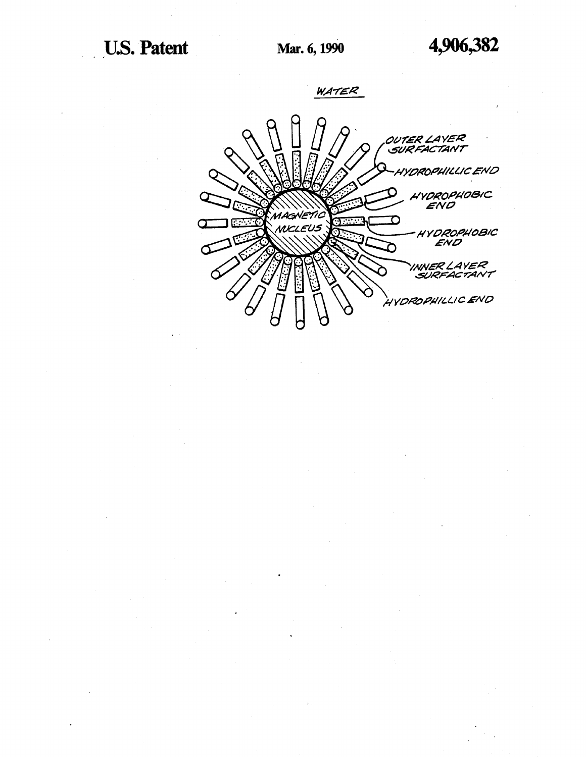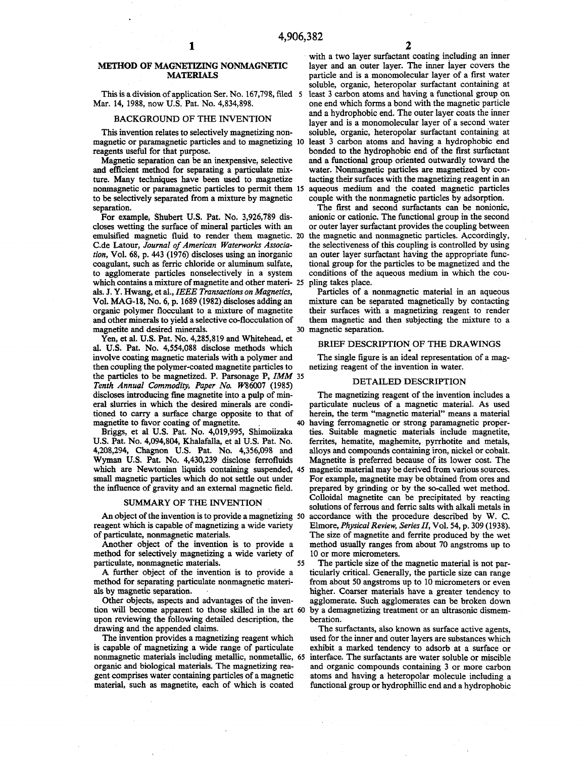## **METHOD OF MAGNETIZING NONMAGNETIC MATERIALS**

**This is a division of application Ser. No. 167,798, filed** 5 **Mar. 14, 1988, now U.S. Pat. No. 4,834,898.**

#### **BACKGROUND OF THE INVENTION**

**This invention relates to selectively magnetizing nonmagnetic or paramagnetic particles and to magnetizing** 10 **reagents useful for that purpose.**

**Magnetic separation can be an inexpensive, selective and efficient method for separating a particulate mixture. Many techniques have been used to magnetize nonmagnetic or paramagnetic particles to permit them** 15 **to be selectively separated from a mixture by magnetic separation.**

**For example, Shubert U.S. Pat. No. 3,926,789 discloses wetting the surface of mineral particles with an emulsified magnetic fluid to render them magnetic. the magnetic and nonmagnetic particles. Accordingly,** 20 C.de Latour, *Journal of American Waterworks Association,* **Vol. 68, p. 443 (1976) discloses using an inorganic coagulant, such as ferric chloride or aluminum sulfate, to agglomerate particles nonselectively in a system which contains a mixture of magnetite and other materi-**25 **als. J. Y. Hwang, et al.,** *IEEE Transactions on Magnetics,* **Vol. MAG-18, No. 6, p. 1689 (1982) discloses adding an organic polymer flocculant to a mixture of magnetite and other minerals to yield a selective co-flocculation of magnetite and desired minerals.**

**Yen, et al. U.S. Pat. No. 4,285,819 and Whitehead, et al. U.S. Pat. No. 4,554,088 disclose methods which involve coating magnetic materials with a polymer and then coupling the polymer-coated magnetite particles to the particles to be magnetized. P. Parsonage P,** *IMM* 35 *Tenth Annual Commodity, Paper No. W86007 (1985)* **discloses introducing fine magnetite into a pulp of mineral slurries in which the desired minerals are conditioned to carry a surface charge opposite to that of magnetite to favor coating of magnetite.** 40

**Briggs, et al U.S. Pat. No. 4,019,995, Shimoiizaka U.S. Pat. No. 4,094,804, Khalafalla, et al U.S. Pat. No. 4,208,294, Chagnon U.S. Pat. No. 4,356,098 and Wyman U.S. Pat. No. 4,430,239 disclose ferrofluids** which are Newtonian liquids containing suspended, 45 magnetic material may be derived from various sources. **small magnetic particles which do not settle out under the influence of gravity and an external magnetic field.**

#### **SUMMARY OF THE INVENTION**

**reagent which is capable of magnetizing a wide variety of particulate, nonmagnetic materials.**

**Another object of the invention is to provide a method for selectively magnetizing a wide variety of particulate, nonmagnetic materials.** 55

**A further object of the invention is to provide a method for separating particulate nonmagnetic materials by magnetic separation.**

**Other objects, aspects and advantages of the invention will become apparent to those skilled in the art** 60 **upon reviewing the following detailed description, the drawing and the appended claims.**

**The invention provides a magnetizing reagent which is capable of magnetizing a wide range of particulate nonmagnetic materials including metallic, nonmetallic,** 65**organic and biological materials. The magnetizing reagent comprises water containing particles of a magnetic material, such as magnetite, each of which is coated**

**with a two layer surfactant coating including an inner layer and an outer layer. The inner layer covers the particle and is a monomolecular layer of a first water soluble, organic, heteropolar surfactant containing at least 3 carbon atoms and having a functional group on one end which forms a bond with the magnetic particle and a hydrophobic end. The outer layer coats the inner layer and is a monomolecular layer of a second water soluble, organic, heteropolar surfactant containing at least 3 carbon atoms and having a hydrophobic end bonded to the hydrophobic end of the first surfactant and a functional group oriented outwardly toward the water. Nonmagnetic particles are magnetized by contacting their surfaces with the magnetizing reagent in an aqueous medium and the coated magnetic particles couple with the nonmagnetic particles by adsorption.**

**The first and second surfactants can be nonionic, anionic or cationic. The functional group in the second or outer layer surfactant provides the coupling between the selectiveness of this coupling is controlled by using an outer layer surfactant having the appropriate functional group for the particles to be magnetized and the conditions of the aqueous medium in which the coupling takes place.**

**Particles of a nonmagnetic material in an aqueous mixture can be separated magnetically by contacting their surfaces with a magnetizing reagent to render them magnetic and then subjecting the mixture to a magnetic separation.** 30

## **BRIEF DESCRIPTION OF THE DRAWINGS**

**The single figure is an ideal representation of a magnetizing reagent of the invention in water.**

### **DETAILED DESCRIPTION**

**An object of the invention is to provide a magnetizing accordance with the procedure described by W. C.** 50 **The magnetizing reagent of the invention includes a particulate nucleus of a magnetic material. As used herein, the term "magnetic material" means a material having ferromagnetic or strong paramagnetic properties. Suitable magnetic materials include magnetite, ferrites, hematite, maghemite, pyrrhotite and metals, alloys and compounds containing iron, nickel or cobalt. Magnetite is preferred because of its lower cost. The For example, magnetite may be obtained from ores and prepared by grinding or by the so-called wet method. Colloidal magnetite can be precipitated by reacting solutions of ferrous and ferric salts with alkali metals in Elmore,** *Physical Review, Series II,* **Vol. 54, p. 309 (1938). The size of magnetite and ferrite produced by the wet method usually ranges from about 70 angstroms up to 10 or more micrometers.**

> **The particle size of the magnetic material is not particularly critical. Generally, the particle size can range from about 50 angstroms up to 10 micrometers or even higher. Coarser materials have a greater tendency to agglomerate. Such agglomerates can be broken down by a demagnetizing treatment or an ultrasonic dismemberation.**

> **The surfactants, also known as surface active agents, used for the inner and outer layers are substances which exhibit a marked tendency to adsorb at a surface or interface. The surfactants are water soluble or miscible and organic compounds containing 3 or more carbon atoms and having a heteropolar molecule including a functional group or hydrophillic end and a hydrophobic**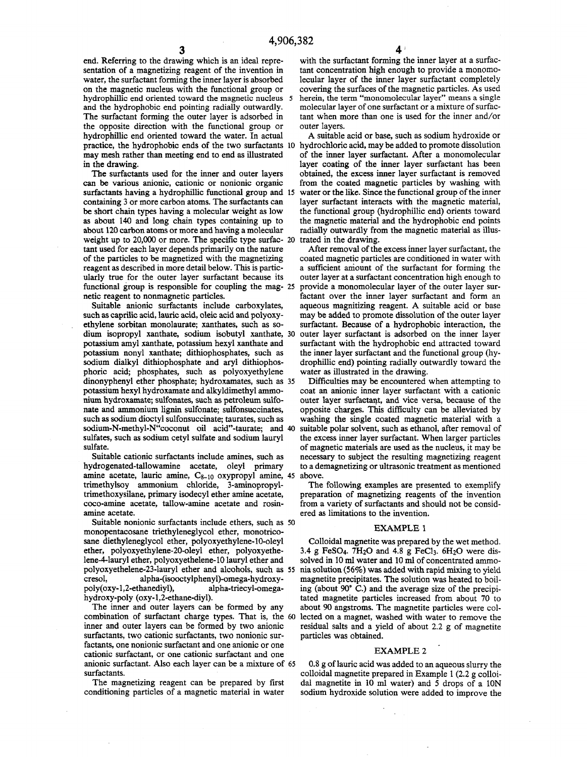**end. Referring to the drawing which is an ideal representation of a magnetizing reagent of the invention in water, the surfactant forming the inner layer is absorbed on the magnetic nucleus with the functional group or hydrophillic end oriented toward the magnetic nucleus** 5 **and the hydrophobic end pointing radially outwardly. The surfactant forming the outer layer is adsorbed in the opposite direction with the functional group or hydrophillic end oriented toward the water. In actual practice, the hydrophobic ends of the two surfactants hydrochloric acid, may be added to promote dissolution** 10 **may mesh rather than meeting end to end as illustrated in the drawing.**

**The surfactants used for the inner and outer layers can be various anionic, cationic or nonionic organic surfactants having a hydrophillic functional group and** 15 **containing 3 or more carbon atoms. The surfactants can be short chain types having a molecular weight as low as about 140 and long chain types containing up to about** 120 **carbon atoms or more and having a molecular weight up to 20,000 or more. The specific type surfac-**20 **tant used for each layer depends primarily on the nature of the particles to be magnetized with the magnetizing reagent as described in more detail below. This is particularly true for the outer layer surfactant because its functional group is responsible for coupling the mag-**25 **netic reagent to nonmagnetic particles.**

**Suitable anionic surfactants include carboxylates, such as caprilic acid, lauric acid, oleic acid and polyoxyethylene sorbitan monolaurate; xanthates, such as sodium isopropyl xanthate, sodium isobutyl xanthate,** 30 **potassium amyl xanthate, potassium hexyl xanthate and potassium nonyl xanthate; dithiophosphates, such as sodium dialkyl dithiophosphate and aryl dithiophosphoric acid; phosphates, such as polyoxyethylene dinonyphenyl ether phosphate; hydroxamates, such as** 35 **potassium hexyl hydroxamate and alkyldimethyl ammonium hydroxamate; sulfonates, such as petroleum sulfonate and ammonium lignin sulfonate; sulfonsuccinates, such as sodium dioctyl sulfonsuccinate; taurates, such as sodium-N-methyl-N"coconut oil acid"-taurate; and suitable polar solvent, such as ethanol, after removal of** 40 **sulfates, such as sodium cetyl sulfate and sodium lauryl sulfate.**

**Suitable cationic surfactants include amines, such as hydrogenated-tallowamine acetate, oleyl primary amine acetate, lauric amine, Cs-io oxypropyl amine,** 45 **trimethylsoy ammonium chloride, 3-aminopropyltrimethoxysilane, primary isodecyl ether amine acetate, coco-amine acetate, tallow-amine acetate and rosinamine acetate.**

**Suitable nonionic surfactants include ethers, such as** 50 **monopentacosane triethyleneglycol ether, monotricosane diethyleneglycol ether, polyoxyethylene-**10**-oleyl ether, polyoxyethylene-**20**-oleyl ether, polyoxyethelene-4-lauryl ether, polyoxyethelene-10 lauryl ether and polyoxyethelene-23-lauryl ether and alcohols, such as** 55 **cresol, alpha-(isooctylphenyl)-omega-hydroxy**poly(oxy-1,2-ethanediyl), **hydroxy-poly (oxy-l,**2**-ethane-diyl).**

**The inner and outer layers can be formed by any combination of surfactant charge types. That is, the** 60 **inner and outer layers can be formed by two anionic surfactants, two cationic surfactants, two nonionic surfactants, one nonionic surfactant and one anionic or one cationic surfactant, or one cationic surfactant and one anionic surfactant. Also each layer can be a mixture of** 65**surfactants.**

**The magnetizing reagent can be prepared by first conditioning particles of a magnetic material in water** **with the surfactant forming the inner layer at a surfactant concentration high enough to provide a monomolecular layer of the inner layer surfactant completely covering the surfaces of the magnetic particles. As used** herein, the term "monomolecular layer" means a single **molecular layer of one surfactant or a mixture of surfactant when more than one is used for the inner and/or outer layers.**

**A suitable acid or base, such as sodium hydroxide or of the inner layer surfactant. After a monomolecular layer coating of the inner layer surfactant has been obtained, the excess inner layer surfactant is removed from the coated magnetic particles by washing with water or the like. Since the functional group of the inner layer surfactant interacts with the magnetic material, the functional group (hydrophillic end) orients toward the magnetic material and the hydrophobic end points radially outwardly from the magnetic material as illustrated in the drawing.**

**After removal of the excess inner layer surfactant, the coated magnetic particles are conditioned in water with a sufficient amount of the surfactant for forming the outer layer at a surfactant concentration high enough to provide a monomolecular layer of the outer layer surfactant over the inner layer surfactant and form an aqueous magnitizing reagent. A suitable acid or base may be added to promote dissolution of the outer layer surfactant. Because of a hydrophobic interaction, the outer layer surfactant is adsorbed on the inner layer surfactant with the hydrophobic end attracted toward the inner layer surfactant and the functional group (hydrophillic end) pointing radially outwardly toward the water as illustrated in the drawing.**

**Difficulties may be encountered when attempting to coat an anionic inner layer surfactant with a cationic outer layer surfactant, and vice versa, because of the opposite charges. This difficulty can be alleviated by washing the single coated magnetic material with a the excess inner layer surfactant. When larger particles of magnetic materials are used as the nucleus, it may be necessary to subject the resulting magnetizing reagent to a demagnetizing or ultrasonic treatment as mentioned above.**

**The following examples are presented to exemplify preparation of magnetizing reagents of the invention from a variety of surfactants and should not be considered as limitations to the invention.**

#### **EXAMPLE 1**

**Colloidal magnetite was prepared by the wet method.** 3.4 g FeSO<sub>4</sub>. 7H<sub>2</sub>O and 4.8 g FeCl<sub>3</sub>. 6H<sub>2</sub>O were dis**solved in** 10 **ml water and** 10 **ml of concentrated ammonia solution (56%) was added with rapid mixing to yield magnetite precipitates. The solution was heated to boiling (about 90° C.) and the average size of the precipitated magnetite particles increased from about 70 to about 90 angstroms. The magnetite particles were collected on a magnet, washed with water to remove the residual salts and a yield of about** 2.2 **g of magnetite particles was obtained.**

#### **EXAMPLE 2**

0.8 **g of lauric acid was added to an aqueous slurry the colloidal magnetite prepared in Example 1 (2.2 g colloidal magnetite in 10 ml water) and 5 drops of a 10N sodium hydroxide solution were added to improve the**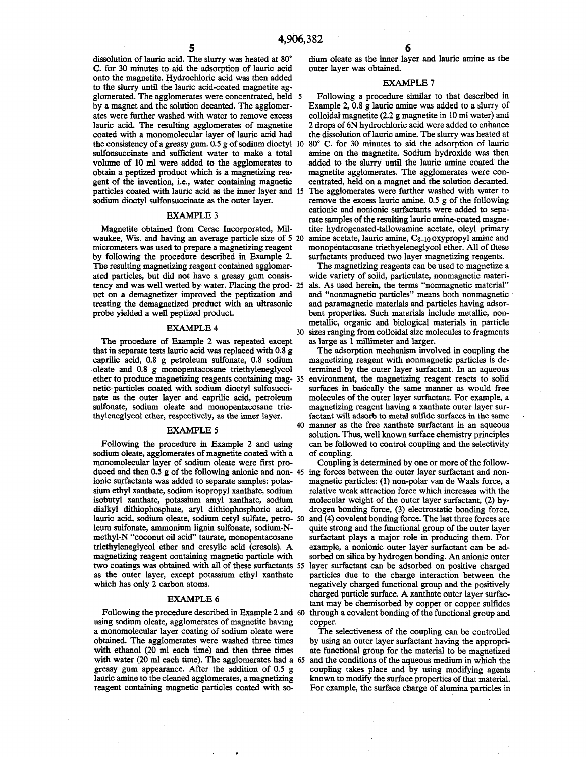**dissolution of lauric acid. The slurry was heated at 80° C. for 30 minutes to aid the adsorption of lauric acid onto the magnetite. Hydrochloric acid was then added to the slurry until the lauric acid-coated magnetite agglomerated. The agglomerates were concentrated, held** 5 **by a magnet and the solution decanted. The agglomerates were further washed with water to remove excess lauric acid. The resulting agglomerates of magnetite coated with a monomolecular layer of lauric acid had sulfonsuccinate and sufficient water to make a total volume of 10 ml were added to the agglomerates to obtain a peptized product which is a magnetizing rea**gent of the invention, i.e., water containing magnetic **sodium dioctyl sulfonsuccinate as the outer layer.**

#### **EXAMPLE 3**

**Magnetite obtained from Cerac Incorporated, Milwaukee, Wis. and having an average particle size of 5** 20 **micrometers was used to prepare a magnetizing reagent by following the procedure described in Example 2. The resulting magnetizing reagent contained agglomerated particles, but did not have a greasy gum consistency and was well wetted by water. Placing the prod-als. As used herein, the terms "nonmagnetic material"** 25 **uct on a demagnetizer improved the peptization and treating the demagnetized product with an ultrasonic probe yielded a well peptized product.**

#### **EXAMPLE 4**

**The procedure of Example 2 was repeated except that in separate tests lauric acid was replaced with 0.8 g caprilic acid, 0.8 g petroleum sulfonate, 0.8 sodium oleate and 0.8 g monopentacosane triethyleneglycol ether to produce magnetizing reagents containing mag-**35 **netic particles coated with sodium dioctyl sulfosuccinate as the outer layer and caprilic acid, petroleum sulfonate, sodium oleate and monopentacosane triethyleneglycol ether, respectively, as the inner layer.**

#### **EXAMPLE 5**

**Following the procedure in Example 2 and using sodium oleate, agglomerates of magnetite coated with a monomolecular layer of sodium oleate were first produced and then 0.5 g of the following anionic and non-**45 **ionic surfactants was added to separate samples: potassium ethyl xanthate, sodium isopropyl xanthate, sodium isobutyl xanthate, potassium amyl xanthate, sodium dialkyl dithiophosphate, aryl dithiophosphoric acid, lauric acid, sodium oleate, sodium cetyl sulfate, petro-**50 **leum sulfonate, ammonium lignin sulfonate, sodium-Nmethyl-N "coconut oil acid" taurate, monopentacosane triethyleneglycol ether and cresylic acid (cresols). A magnetizing reagent containing magnetic particle with two coatings was obtained with all of these surfactants** 55 **as the outer layer, except potassium ethyl xanthate which has only 2 carbon atoms.**

#### **EXAMPLE 6**

**using sodium oleate, agglomerates of magnetite having a monomolecular layer coating of sodium oleate were obtained. The agglomerates were washed three times with ethanol (20 ml each time) and then three times with water (20 ml each time). The agglomerates had a** 65**greasy gum appearance. After the addition of 0.5 g lauric amine to the cleaned agglomerates, a magnetizing reagent containing magnetic particles coated with so-**

**dium oleate as the inner layer and lauric amine as the outer layer was obtained.**

#### **EXAMPLE 7**

**the consistency of a greasy gum. 0.5 g of sodium dioctyl 80° C. for 30 minutes to aid the adsorption of lauric** 10 **particles coated with lauric acid as the inner layer and The agglomerates were further washed with water to** 15 **Following a procedure similar to that described in Example 2, 0.8 g lauric amine was added to a slurry of colloidal magnetite (2.2 g magnetite in 10 ml water) and 2 drops of 6N hydrochloric acid were added to enhance the dissolution of lauric amine. The slurry was heated at amine on the magnetite. Sodium hydroxide was then added to the slurry until the lauric amine coated the magnetite agglomerates. The agglomerates were concentrated, held on a magnet and the solution decanted.** remove the excess lauric amine. 0.5 g of the following **cationic and nonionic surfactants were added to separate samples of the resulting lauric amine-coated magnetite: hydrogenated-tallowamine acetate, oleyl primary amine acetate, lauric amine, Cs-io oxypropyl amine and monopentacosane triethyeleneglycol ether. All of these surfactants produced two layer magnetizing reagents.**

> **The magnetizing reagents can be used to magnetize a wide variety of solid, particulate, nonmagnetic materiand "nonmagnetic particles" means both nonmagnetic and paramagnetic materials and particles having adsorbent properties. Such materials include metallic, nonmetallic, organic and biological materials in particle sizes ranging from colloidal size molecules to fragments** 30 **as large as 1 millimeter and larger.**

> **The adsorption mechanism involved in coupling the magnetizing reagent with nonmagnetic particles is determined by the outer layer surfactant. In an aqueous environment, the magnetizing reagent reacts to solid surfaces in basically the same manner as would free molecules of the outer layer surfactant. For example, a magnetizing reagent having a xanthate outer layer surfactant will adsorb to metal sulfide surfaces in the same manner as the free xanthate surfactant in an aqueous** 40 **solution. Thus, well known surface chemistry principles can be followed to control coupling and the selectivity of coupling.**

**Following the procedure described in Example 2 and through a covalent bonding of the functional group and** 60 **Coupling is determined by one or more of the following forces between the outer layer surfactant and nonmagnetic particles: (1) non-polar van de Waals force, a relative weak attraction force which increases with the molecular weight of the outer layer surfactant, (2) hydrogen bonding force, (3) electrostatic bonding force, and (4) covalent bonding force. The last three forces are quite strong and the functional group of the outer layer surfactant plays a major role in producing them. For example, a nonionic outer layer surfactant can be adsorbed on silica by hydrogen bonding. An anionic outer layer surfactant can be adsorbed on positive charged particles due to the charge interaction between the negatively charged functional group and the positively charged particle surface. A xanthate outer layer surfactant may be chemisorbed by copper or copper sulfides copper.**

> **The selectiveness of the coupling can be controlled by using an outer layer surfactant having the appropriate functional group for the material to be magnetized and the conditions of the aqueous medium in which the coupling takes place and by using modifying agents known to modify the surface properties of that material. For example, the surface charge of alumina particles in**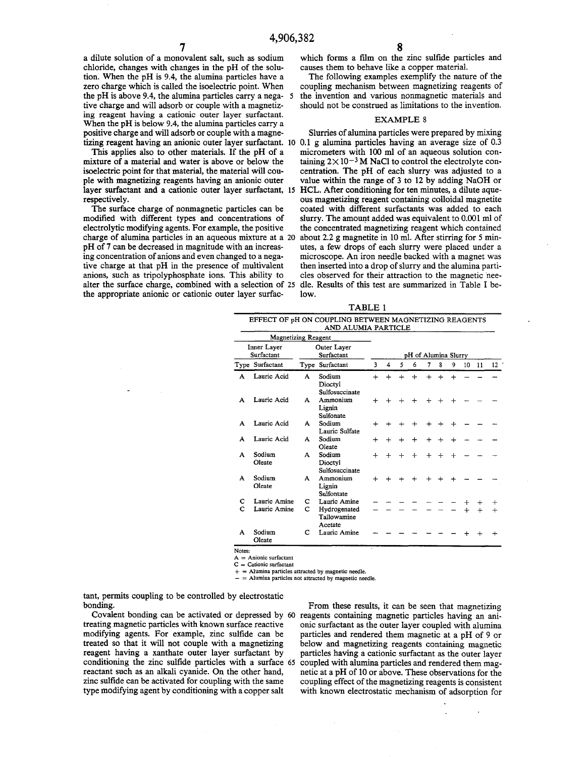**a dilute solution of a monovalent salt, such as sodium chloride, changes with changes in the pH of the solution. When the pH is 9.4, the alumina particles have a zero charge which is called the isoelectric point. When the pH is above 9.4, the alumina particles carry a nega- 5 tive charge and will adsorb or couple with a magnetizing reagent having a cationic outer layer surfactant. When the pH is below 9.4, the alumina particles carry a positive charge and will adsorb or couple with a magne-**

**This applies also to other materials. If the pH of a mixture of a material and water is above or below the isoelectric point for that material, the material will couple with magnetizing reagents having an anionic outer layer surfactant and a cationic outer layer surfactant, 15 respectively.**

**The surface charge of nonmagnetic particles can be modified with different types and concentrations of electrolytic modifying agents. For example, the positive charge of alumina particles in an aqueous mixture at a 20 pH of 7 can be decreased in magnitude with an increasing concentration of anions and even changed to a negative charge at that pH in the presence of multivalent anions, such as tripolyphosphate ions. This ability to alter the surface charge, combined with a selection of 25 the appropriate anionic or cationic outer layer surfac-**

**which forms a film on the zinc sulfide particles and causes them to behave like a copper material.**

**The following examples exemplify the nature of the coupling mechanism between magnetizing reagents of the invention and various nonmagnetic materials and should not be construed as limitations to the invention.**

## **EXAMPLE 8**

**tizing reagent having an anionic outer layer surfactant. 10 0.1 g alumina particles having an average size of 0.3 Slurries of alumina particles were prepared by mixing micrometers with 100 ml of an aqueous solution con**taining  $2 \times 10^{-3}$  M NaCl to control the electrolyte con**centration. The pH of each slurry was adjusted to a value within the range of 3 to 12 by adding NaOH or HCL. After conditioning for ten minutes, a dilute aqueous magnetizing reagent containing colloidal magnetite coated with different surfactants was added to each slurry. The amount added was equivalent to 0.001 ml of the concentrated magnetizing reagent which contained about 2.2 g magnetite in 10 ml. After stirring for 5 minutes, a few drops of each slurry were placed under a microscope. An iron needle backed with a magnet was then inserted into a drop of slurry and the alumina particles observed for their attraction to the magnetic needle. Results of this test are summarized in Table I below.**

| <b>\BLE</b><br>м |  |
|------------------|--|
|------------------|--|

|                           |                            |                           | EFFECT OF pH ON COUPLING BETWEEN MAGNETIZING REAGENTS<br>AND ALUMIA PARTICLE |                      |           |        |        |           |        |           |    |            |         |
|---------------------------|----------------------------|---------------------------|------------------------------------------------------------------------------|----------------------|-----------|--------|--------|-----------|--------|-----------|----|------------|---------|
|                           | <b>Magnetizing Reagent</b> |                           |                                                                              |                      |           |        |        |           |        |           |    |            |         |
| Inner Layer<br>Surfactant |                            | Outer Layer<br>Surfactant |                                                                              | pH of Alumina Slurry |           |        |        |           |        |           |    |            |         |
|                           | Type Surfactant            |                           | Type Surfactant                                                              | 3                    | 4         | 5      | 6      | 7         | 8      | 9         | 10 | 11         | 12      |
| A                         | Lauric Acid                | A                         | Sodium<br>Dioctyl<br>Sulfosuccinate                                          | $+$                  | $+$       | $+$    | $+$    | $+$       | $+$    | $+$       |    |            |         |
| A                         | Lauric Acid                | A                         | Ammonium<br>Lignin<br>Sulfonate                                              | ┿                    |           | $\div$ | $\div$ | $\div$    | $\div$ | $+$       |    |            |         |
| A                         | Lauric Acid                | A                         | Sodium<br>Lauric Sulfate                                                     | $^{+}$               |           | $\div$ | $+$    | $^{+}$    |        | $+$       |    |            |         |
| A                         | Lauric Acid                | A                         | Sodium<br>Oleate                                                             | $+$                  | $\ddot{}$ | $\div$ | $+$    | $+$       | $+$    | $+$       |    |            |         |
| A                         | Sodium<br>Oleate           | A                         | Sodium<br>Dioctyl<br>Sulfosuccinate                                          |                      |           | $\div$ | $+$    | $\ddot{}$ |        | $+$       |    |            |         |
| A                         | Sodium<br>Oleate           | A                         | Ammonium<br>Lignin<br>Sulfontate                                             | $\ddot{}$            |           | $\div$ | $+$    | $+$       | $\div$ | $\ddot{}$ |    |            |         |
| с                         | Lauric Amine               | с                         | Lauric Amine                                                                 |                      |           |        |        |           |        |           |    | $\div$     | $\,+\,$ |
| C                         | Lauric Amine               | c                         | Hydrogenated<br>Tallowamine<br>Acetate                                       |                      |           |        |        |           |        |           |    | $\ddot{+}$ | $+$     |
| A                         | Sodium<br>Oleate           | с                         | Lauric Amine                                                                 |                      |           |        |        |           |        |           |    | $^{+}$     | $\div$  |

Notes:

 $=$  Anionic surfactant  $C =$  Cationic surfactant

 $=$  Alumina particles attracted by magnetic needle.  $-$  = Alumina particles not attracted by magnetic needle.

**tant, permits coupling to be controlled by electrostatic bonding.**

**treating magnetic particles with known surface reactive modifying agents. For example, zinc sulfide can be treated so that it will not couple with a magnetizing reagent having a xanthate outer layer surfactant by conditioning the zinc sulfide particles with a surface 65 reactant such as an alkali cyanide. On the other hand, zinc sulfide can be activated for coupling with the same type modifying agent by conditioning with a copper salt**

**Covalent bonding can be activated or depressed by 60 reagents containing magnetic particles having an ani-From these results, it can be seen that magnetizing onic surfactant as the outer layer coupled with alumina particles and rendered them magnetic at a pH of 9 or below and magnetizing reagents containing magnetic particles having a cationic surfactant as the outer layer coupled with alumina particles and rendered them magnetic at a pH of 10 or above. These observations for the coupling effect of the magnetizing reagents is consistent with known electrostatic mechanism of adsorption for**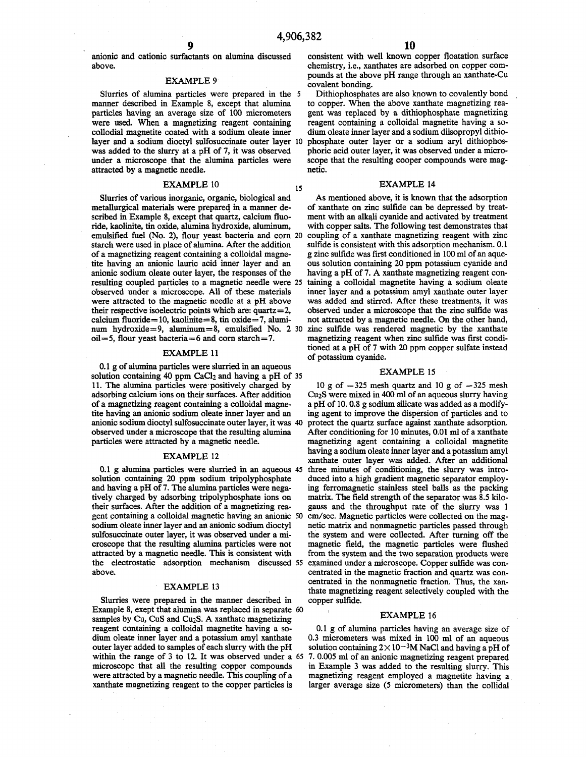15

**anionic and cationic surfactants on alumina discussed above.**

#### **EXAMPLE 9**

**Slurries of alumina particles were prepared in the** 5 **manner described in Example 8, except that alumina particles having an average size of 100 micrometers were used. When a magnetizing reagent containing collodial magnetite coated with a sodium oleate inner layer and a sodium dioctyl sulfosuccinate outer layer** 10 **was added to the slurry at a pH of 7, it was observed under a microscope that the alumina particles were attracted by a magnetic needle.**

#### **EXAMPLE 10**

**Slurries of various inorganic, organic, biological and metallurgical materials were prepared in a manner described in Example 8, except that quartz, calcium fluoride, kaolinite, tin oxide, alumina hydroxide, aluminum, emulsified fuel (No. 2), flour yeast bacteria and com** 20 **starch were used in place of alumina. After the addition of a magnetizing reagent containing a colloidal magnetite having an anionic lauric acid inner layer and an anionic sodium oleate outer layer, the responses of the resulting coupled particles to a magnetic needle were** 25 **observed under a microscope. All of these materials were attracted to the magnetic needle at a pH above their respective isoelectric points which are: quartz= 2, calcium fluoride=10, kaolinite= 8 , tin oxide= 7 , alumi**num hydroxide=9, aluminum=8, emulsified No. 2 30 zinc sulfide was rendered magnetic by the xanthate **oil= 5, flour yeast bacteria=6 and com starch= 7.**

#### **EXAMPLE 11**

0.1 g of alumina particles were slurried in an aqueous solution containing 40 ppm CaCl<sub>2</sub> and having a pH of 35 **11. The alumina particles were positively charged by adsorbing calcium ions on their surfaces. After addition of a magnetizing reagent containing a colloidal magnetite having an anionic sodium oleate inner layer and an anionic sodium dioctyl sulfosuccinate outer layer, it was** 40 **observed under a microscope that the resulting** alumina **particles were attracted by a magnetic needle.**

#### **EXAMPLE 12**

**0.1 g alumina particles were slurried in an aqueous** 45 **solution containing 20 ppm sodium tripolyphosphate and having a pH of 7. The alumina particles were negatively charged by adsorbing tripolyphosphate ions on their surfaces. After the addition of a magnetizing reagent containing a colloidal magnetic having an anionic** 50 **sodium oleate inner layer and an anionic sodium dioctyl sulfosuccinate outer layer, it was observed under a microscope that the resulting alumina particles were not attracted by a magnetic needle. This is consistent with the electrostatic adsorption mechanism discussed** 55 **above.**

#### **EXAMPLE 13**

**Slurries were prepared in the manner described in Example 8, exept that alumina was replaced in separate** 60 **samples by Cu, CuS and Cu2S. A xanthate magnetizing reagent containing a colloidal magnetite having a sodium oleate inner layer and a potassium amyl xanthate outer layer added to samples of each slurry with the pH within the range of 3 to 12. It was observed under a** 65**microscope that all the resulting copper compounds were attracted by a magnetic needle. This coupling of a xanthate magnetizing reagent to the copper particles is**

**consistent with well known copper floatation surface chemistry, i.e., xanthates are adsorbed on copper compounds at the above pH range through an xanthate-Cu covalent bonding.**

**Dithiophosphates are also known to covalently bond to copper. When the above xanthate magnetizing reagent was replaced by a dithiophosphate magnetizing reagent containing a colloidal magnetite having a sodium oleate inner layer and a sodium diisopropyl dithiophosphate outer layer or a sodium aryl dithiophosphoric acid outer layer, it was observed under a microscope that the resulting cooper compounds were magnetic.**

#### **EXAMPLE 14**

**As mentioned above, it is known that the adsorption of xanthate on zinc sulfide can be depressed by treatment with an alkali cyanide and activated by treatment with copper salts. The following test demonstrates that coupling of a xanthate magnetizing reagent with zinc sulfide is consistent with this adsorption mechanism. 0.1 g zinc sulfide was first conditioned in 100 ml of an aqueous solution containing 20 ppm potassium cyanide and having a pH of 7. A xanthate magnetizing reagent containing a colloidal magnetite having a sodium oleate inner layer and a potassium amyl xanthate outer layer was added and stirred. After these treatments, it was observed under a microscope that the zinc sulfide was not attracted by a magnetic needle. On the other hand, magnetizing reagent when zinc sulfide was first conditioned at a pH of 7 with 20 ppm copper sulfate instead of potassium cyanide.**

#### **EXAMPLE 15**

**10 g of —325 mesh quartz and 10 g of —325 mesh Cu2S were mixed in 400 ml of an aqueous slurry having a pH of 10. 0.8 g sodium silicate was added as a modifying agent to improve the dispersion of particles and to protect the quartz surface against xanthate adsorption. After conditioning for 10 minutes, 0.01 ml of a xanthate magnetizing agent containing a colloidal magnetite having a sodium oleate inner layer and a potassium amyl xanthate outer layer was added. After an additional three minutes of conditioning, the slurry was introduced into a high gradient magnetic separator employing ferromagnetic stainless steel balls as the packing matrix. The field strength of the separator was 8.5 kilogauss and the throughput rate of the slurry was 1 cm/sec. Magnetic particles were collected on the magnetic matrix and nonmagnetic particles passed through the system and were collected. After turning off the magnetic field, the magnetic particles were flushed from the system and the two separation products were examined under a microscope. Copper sulfide was concentrated in the magnetic fraction and quartz was concentrated in the nonmagnetic fraction. Thus, the xanthate magnetizing reagent selectively coupled with the copper sulfide.**

#### **EXAMPLE 16**

**0.1 g of alumina particles having an average size of 0.3 micrometers was mixed in 100 ml of an aqueous** solution containing  $2 \times 10^{-3}$ M NaCl and having a pH of **7. 0.005 ml of an anionic magnetizing reagent prepared in Example 3 was added to the resulting slurry. This magnetizing reagent employed a magnetite having a larger average size (5 micrometers) than the collidal**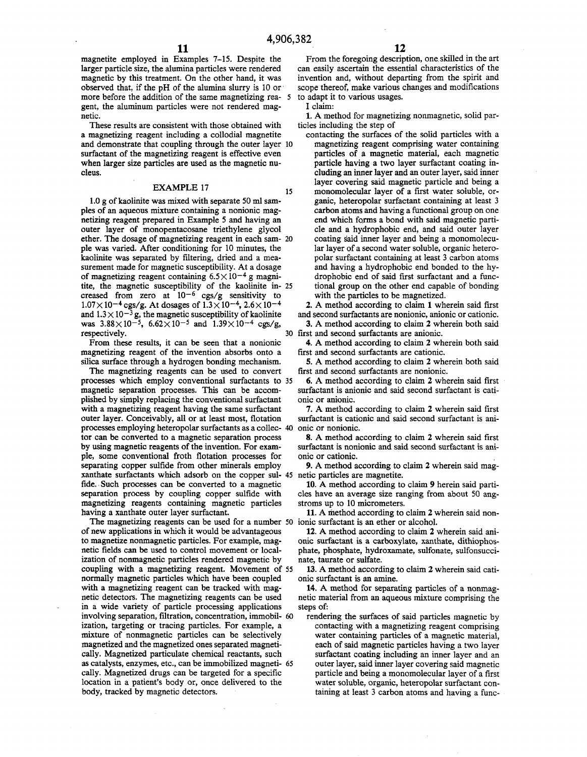15

**magnetite employed in Examples 7-15. Despite the larger particle size, the alumina particles were rendered magnetic by this treatment. On the other hand, it was observed that, if the pH of the alumina slurry is 10 or more before the addition of the same magnetizing rea-**5 **gent, the aluminum particles were not rendered magnetic.**

**These results are consistent with those obtained with a magnetizing reagent including a collodial magnetite and demonstrate that coupling through the outer layer** 10 **surfactant of the magnetizing reagent is effective even when larger size particles are used as the magnetic nucleus.**

#### **EXAMPLE 17**

**1.0 g of kaolinite was mixed with separate 50 ml samples of an aqueous mixture containing a nonionic magnetizing reagent prepared in Example 5 and having an outer layer of monopentacosane triethylene glycol ether. The dosage of magnetizing reagent in each sam-**20 **ple was varied. After conditioning for 10 minutes, the kaolinite was separated by filtering, dried and a measurement made for magnetic susceptibility. At a dosage of magnetizing reagent containing 6.5 X10-4 g magnitite, the magnetic susceptibility of the kaolinite in-**25 creased from zero at  $10^{-6}$  cgs/g sensitivity to  $1.07 \times 10^{-4}$  cgs/g. At dosages of  $1.3 \times 10^{-4}$ ,  $2.6 \times 10^{-4}$ and  $1.3 \times 10^{-3}$  g, the magnetic susceptibility of kaolinite was  $3.88 \times 10^{-5}$ ,  $6.62 \times 10^{-5}$  and  $1.39 \times 10^{-4}$  cgs/g, **respectively.**

**From these results, it can be seen that a nonionic magnetizing reagent of the invention absorbs onto a silica surface through a hydrogen bonding mechanism.**

**The magnetizing reagents can be used to convert processes which employ conventional surfactants to** 35 **magnetic separation processes. This can be accomplished by simply replacing the conventional surfactant with a magnetizing reagent having the same surfactant outer layer. Conceivably, all or at least most, flotation processes employing heteropolar surfactants as a collec-**40 **tor can be converted to a magnetic separation process by using magnetic reagents of the invention. For example, some conventional froth flotation processes for separating copper sulfide from other minerals employ xanthate surfactants which adsorb on the copper sul-netic particles are magnetite.** 45 **fide. Such processes can be converted to a magnetic separation process by coupling copper sulfide with magnetizing reagents containing magnetic particles having a xanthate outer layer surfactant.**

**The magnetizing reagents can be used for a number ionic surfactant is an ether or alcohol.** 50 **of new applications in which it would be advantageous to magnetize nonmagnetic particles. For example, magnetic fields can be used to control movement or localization of nonmagnetic particles rendered magnetic by coupling with a magnetizing reagent. Movement of** 55 **normally magnetic particles which have been coupled with a magnetizing reagent can be tracked with magnetic detectors. The magnetizing reagents can be used in a wide variety of particle processing applications involving separation, filtration, concentration, immobil-**60 **ization, targeting or tracing particles. For example, a mixture of nonmagnetic particles can be selectively magnetized and the magnetized ones separated magnetically. Magnetized particulate chemical reactants, such as catalysts, enzymes, etc., can be immobilized magneti-**65**cally. Magnetized drugs can be targeted for a specific location in a patient's body or, once delivered to the body, tracked by magnetic detectors.**

**From the foregoing description, one. skilled in the art can easily ascertain the essential characteristics of the invention and, without departing from the spirit and scope thereof, make various changes and modifications to adapt it to various usages.**

**I claim:**

**1. A method for magnetizing nonmagnetic, solid particles including the step of**

**contacting the surfaces of the solid particles with a magnetizing reagent comprising water containing particles of a magnetic material, each magnetic particle having a two layer surfactant coating including an inner layer and an outer layer, said inner layer covering said magnetic particle and being a monomolecular layer of a first water soluble, organic, heteropolar surfactant containing at least 3 carbon atoms and having a functional group on one end which forms a bond with said magnetic particle and a hydrophobic end, and said outer layer coating said inner layer and being a monomolecular layer of a second water soluble, organic heteropolar surfactant containing at least 3 carbon atoms and having a hydrophobic end bonded to the hydrophobic end of said first surfactant and a functional group on the other end capable of bonding with the particles to be magnetized.**

**2. A method according to claim 1 wherein said first and second surfactants are nonionic, anionic or cationic.**

**3. A method according to claim 2 wherein both said first and second surfactants are anionic.** 30

**4. A method according to claim 2 wherein both said first and second surfactants are cationic.**

**5. A method according to claim 2 wherein both said first and second surfactants are nonionic.**

**6. A method according to claim 2 wherein said first surfactant is anionic and said second surfactant is cationic or anionic.**

**7. A method according to claim 2 wherein said first surfactant is cationic and said second surfactant is anionic or nonionic.**

**8. A method according to claim 2 wherein said first surfactant is nonionic and said second surfactant is anionic or cationic.**

**9. A method according to claim 2 wherein said mag-**

**10. A method according to claim 9 herein said particles have an average size ranging from about 50 angstroms up to 10 micrometers.**

**11. A method according to claim 2 wherein said non-**

**12. A method according to claim 2 wherein said anionic surfactant is a carboxylate, xanthate, dithiophosphate, phosphate, hydroxamate, sulfonate, sulfonsuccinate, taurate or sulfate.**

**13. A method according to claim 2 wherein said cationic surfactant is an amine.**

**14. A method for separating particles of a nonmagnetic material from an aqueous mixture comprising the steps of:**

**rendering the surfaces of said particles magnetic by contacting with a magnetizing reagent comprising water containing particles of a magnetic material, each of said magnetic particles having a two layer surfactant coating including an inner layer and an outer layer, said inner layer covering said magnetic particle and being a monomolecular layer of a first water soluble, organic, heteropolar surfactant containing at least 3 carbon atoms and having a func-**